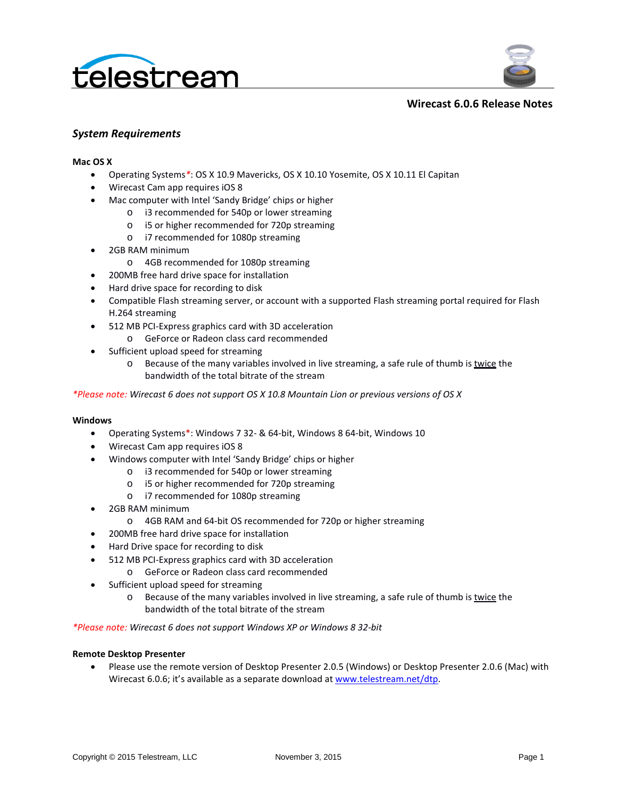



### **Wirecast 6.0.6 Release Notes**

### *System Requirements*

#### **Mac OS X**

- Operating Systems*\**: OS X 10.9 Mavericks, OS X 10.10 Yosemite, OS X 10.11 El Capitan
- Wirecast Cam app requires iOS 8
- Mac computer with Intel 'Sandy Bridge' chips or higher
	- o i3 recommended for 540p or lower streaming
	- o i5 or higher recommended for 720p streaming
	- o i7 recommended for 1080p streaming
- 2GB RAM minimum
	- o 4GB recommended for 1080p streaming
- 200MB free hard drive space for installation
- Hard drive space for recording to disk
- Compatible Flash streaming server, or account with a supported Flash streaming portal required for Flash H.264 streaming
- 512 MB PCI-Express graphics card with 3D acceleration
	- o GeForce or Radeon class card recommended
- Sufficient upload speed for streaming
	- $\circ$  Because of the many variables involved in live streaming, a safe rule of thumb is twice the bandwidth of the total bitrate of the stream

*\*Please note: Wirecast 6 does not support OS X 10.8 Mountain Lion or previous versions of OS X*

#### **Windows**

- Operating Systems\*: Windows 7 32- & 64-bit, Windows 8 64-bit, Windows 10
- Wirecast Cam app requires iOS 8
- Windows computer with Intel 'Sandy Bridge' chips or higher
	- o i3 recommended for 540p or lower streaming
	- o i5 or higher recommended for 720p streaming
	- o i7 recommended for 1080p streaming
- 2GB RAM minimum
	- o 4GB RAM and 64-bit OS recommended for 720p or higher streaming
- 200MB free hard drive space for installation
- Hard Drive space for recording to disk
- 512 MB PCI-Express graphics card with 3D acceleration
	- o GeForce or Radeon class card recommended
- Sufficient upload speed for streaming
	- $\circ$  Because of the many variables involved in live streaming, a safe rule of thumb is twice the bandwidth of the total bitrate of the stream

*\*Please note: Wirecast 6 does not support Windows XP or Windows 8 32-bit*

#### **Remote Desktop Presenter**

• Please use the remote version of Desktop Presenter 2.0.5 (Windows) or Desktop Presenter 2.0.6 (Mac) with Wirecast 6.0.6; it's available as a separate download at [www.telestream.net/dtp.](http://www.telestream.net/dtp)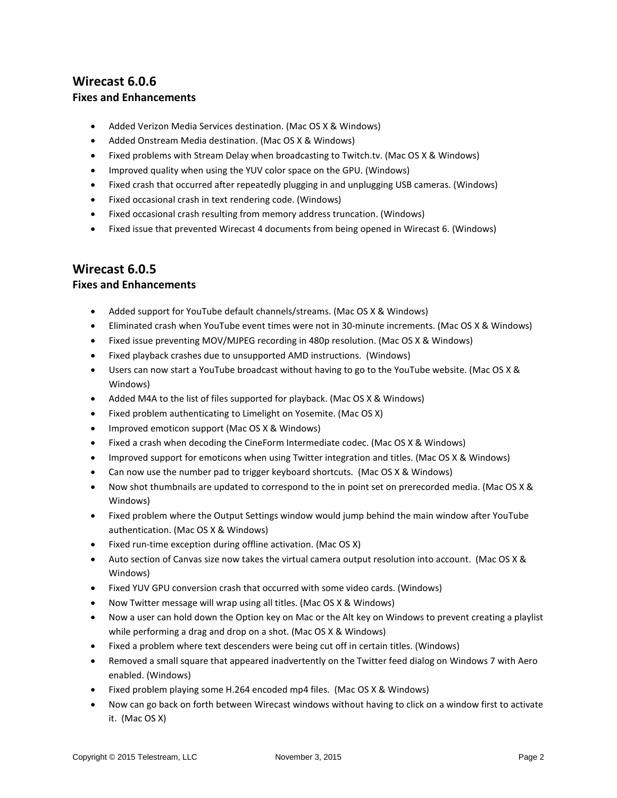# **Wirecast 6.0.6 Fixes and Enhancements**

- Added Verizon Media Services destination. (Mac OS X & Windows)
- Added Onstream Media destination. (Mac OS X & Windows)
- Fixed problems with Stream Delay when broadcasting to Twitch.tv. (Mac OS X & Windows)
- Improved quality when using the YUV color space on the GPU. (Windows)
- Fixed crash that occurred after repeatedly plugging in and unplugging USB cameras. (Windows)
- Fixed occasional crash in text rendering code. (Windows)
- Fixed occasional crash resulting from memory address truncation. (Windows)
- Fixed issue that prevented Wirecast 4 documents from being opened in Wirecast 6. (Windows)

## **Wirecast 6.0.5**

### **Fixes and Enhancements**

- Added support for YouTube default channels/streams. (Mac OS X & Windows)
- Eliminated crash when YouTube event times were not in 30-minute increments. (Mac OS X & Windows)
- Fixed issue preventing MOV/MJPEG recording in 480p resolution. (Mac OS X & Windows)
- Fixed playback crashes due to unsupported AMD instructions. (Windows)
- Users can now start a YouTube broadcast without having to go to the YouTube website. (Mac OS X & Windows)
- Added M4A to the list of files supported for playback. (Mac OS X & Windows)
- Fixed problem authenticating to Limelight on Yosemite. (Mac OS X)
- Improved emoticon support (Mac OS X & Windows)
- Fixed a crash when decoding the CineForm Intermediate codec. (Mac OS X & Windows)
- Improved support for emoticons when using Twitter integration and titles. (Mac OS X & Windows)
- Can now use the number pad to trigger keyboard shortcuts. (Mac OS X & Windows)
- Now shot thumbnails are updated to correspond to the in point set on prerecorded media. (Mac OS X & Windows)
- Fixed problem where the Output Settings window would jump behind the main window after YouTube authentication. (Mac OS X & Windows)
- Fixed run-time exception during offline activation. (Mac OS X)
- Auto section of Canvas size now takes the virtual camera output resolution into account. (Mac OS X & Windows)
- Fixed YUV GPU conversion crash that occurred with some video cards. (Windows)
- Now Twitter message will wrap using all titles. (Mac OS X & Windows)
- Now a user can hold down the Option key on Mac or the Alt key on Windows to prevent creating a playlist while performing a drag and drop on a shot. (Mac OS X & Windows)
- Fixed a problem where text descenders were being cut off in certain titles. (Windows)
- Removed a small square that appeared inadvertently on the Twitter feed dialog on Windows 7 with Aero enabled. (Windows)
- Fixed problem playing some H.264 encoded mp4 files. (Mac OS X & Windows)
- Now can go back on forth between Wirecast windows without having to click on a window first to activate it. (Mac OS X)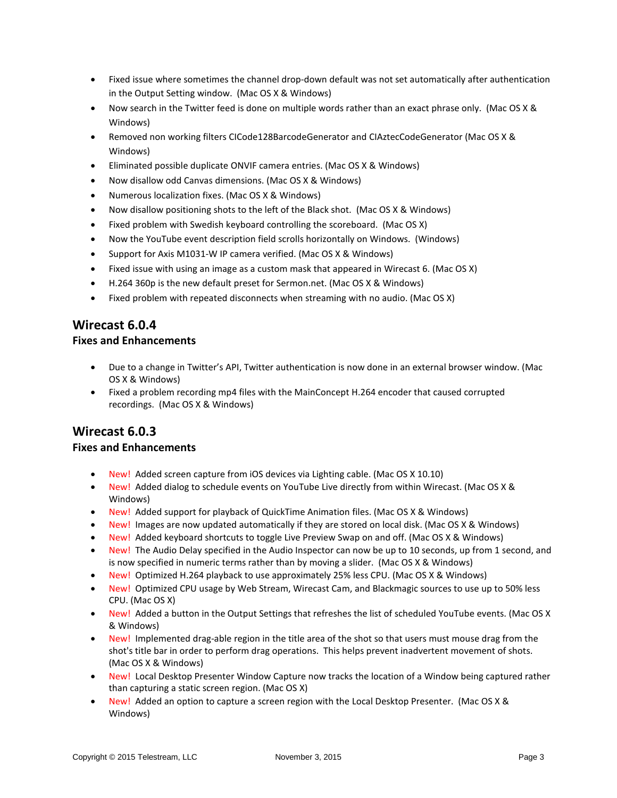- Fixed issue where sometimes the channel drop-down default was not set automatically after authentication in the Output Setting window. (Mac OS X & Windows)
- Now search in the Twitter feed is done on multiple words rather than an exact phrase only. (Mac OS X & Windows)
- Removed non working filters CICode128BarcodeGenerator and CIAztecCodeGenerator (Mac OS X & Windows)
- Eliminated possible duplicate ONVIF camera entries. (Mac OS X & Windows)
- Now disallow odd Canvas dimensions. (Mac OS X & Windows)
- Numerous localization fixes. (Mac OS X & Windows)
- Now disallow positioning shots to the left of the Black shot. (Mac OS X & Windows)
- Fixed problem with Swedish keyboard controlling the scoreboard. (Mac OS X)
- Now the YouTube event description field scrolls horizontally on Windows. (Windows)
- Support for Axis M1031-W IP camera verified. (Mac OS X & Windows)
- Fixed issue with using an image as a custom mask that appeared in Wirecast 6. (Mac OS X)
- H.264 360p is the new default preset for Sermon.net. (Mac OS X & Windows)
- Fixed problem with repeated disconnects when streaming with no audio. (Mac OS X)

## **Wirecast 6.0.4**

### **Fixes and Enhancements**

- Due to a change in Twitter's API, Twitter authentication is now done in an external browser window. (Mac OS X & Windows)
- Fixed a problem recording mp4 files with the MainConcept H.264 encoder that caused corrupted recordings. (Mac OS X & Windows)

## **Wirecast 6.0.3**

### **Fixes and Enhancements**

- New! Added screen capture from iOS devices via Lighting cable. (Mac OS X 10.10)
- New! Added dialog to schedule events on YouTube Live directly from within Wirecast. (Mac OS X & Windows)
- New! Added support for playback of QuickTime Animation files. (Mac OS X & Windows)
- New! Images are now updated automatically if they are stored on local disk. (Mac OS X & Windows)
- New! Added keyboard shortcuts to toggle Live Preview Swap on and off. (Mac OS X & Windows)
- New! The Audio Delay specified in the Audio Inspector can now be up to 10 seconds, up from 1 second, and is now specified in numeric terms rather than by moving a slider. (Mac OS X & Windows)
- New! Optimized H.264 playback to use approximately 25% less CPU. (Mac OS X & Windows)
- New! Optimized CPU usage by Web Stream, Wirecast Cam, and Blackmagic sources to use up to 50% less CPU. (Mac OS X)
- New! Added a button in the Output Settings that refreshes the list of scheduled YouTube events. (Mac OS X & Windows)
- New! Implemented drag-able region in the title area of the shot so that users must mouse drag from the shot's title bar in order to perform drag operations. This helps prevent inadvertent movement of shots. (Mac OS X & Windows)
- New! Local Desktop Presenter Window Capture now tracks the location of a Window being captured rather than capturing a static screen region. (Mac OS X)
- New! Added an option to capture a screen region with the Local Desktop Presenter. (Mac OS X & Windows)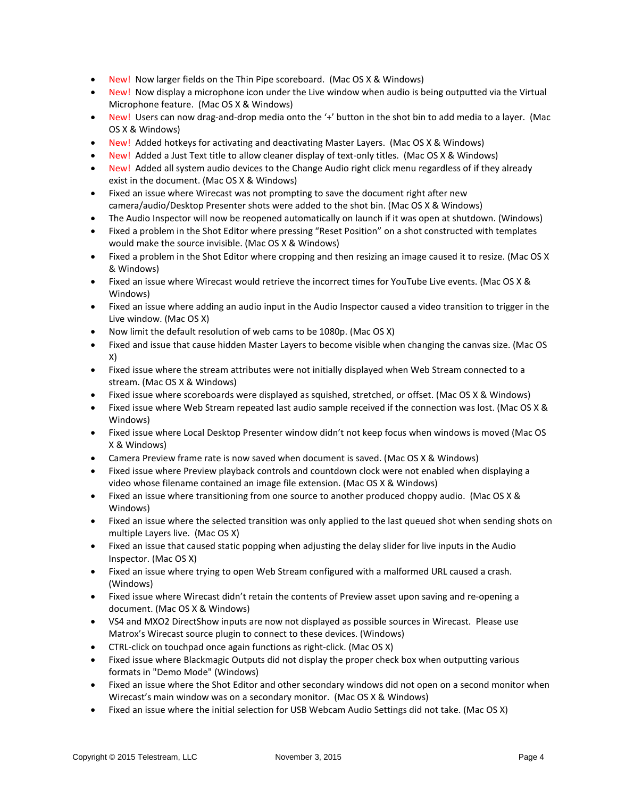- New! Now larger fields on the Thin Pipe scoreboard. (Mac OS X & Windows)
- New! Now display a microphone icon under the Live window when audio is being outputted via the Virtual Microphone feature. (Mac OS X & Windows)
- New! Users can now drag-and-drop media onto the '+' button in the shot bin to add media to a layer. (Mac OS X & Windows)
- New! Added hotkeys for activating and deactivating Master Layers. (Mac OS X & Windows)
- New! Added a Just Text title to allow cleaner display of text-only titles. (Mac OS X & Windows)
- New! Added all system audio devices to the Change Audio right click menu regardless of if they already exist in the document. (Mac OS X & Windows)
- Fixed an issue where Wirecast was not prompting to save the document right after new camera/audio/Desktop Presenter shots were added to the shot bin. (Mac OS X & Windows)
- The Audio Inspector will now be reopened automatically on launch if it was open at shutdown. (Windows)
- Fixed a problem in the Shot Editor where pressing "Reset Position" on a shot constructed with templates would make the source invisible. (Mac OS X & Windows)
- Fixed a problem in the Shot Editor where cropping and then resizing an image caused it to resize. (Mac OS X & Windows)
- Fixed an issue where Wirecast would retrieve the incorrect times for YouTube Live events. (Mac OS X & Windows)
- Fixed an issue where adding an audio input in the Audio Inspector caused a video transition to trigger in the Live window. (Mac OS X)
- Now limit the default resolution of web cams to be 1080p. (Mac OS X)
- Fixed and issue that cause hidden Master Layers to become visible when changing the canvas size. (Mac OS X)
- Fixed issue where the stream attributes were not initially displayed when Web Stream connected to a stream. (Mac OS X & Windows)
- Fixed issue where scoreboards were displayed as squished, stretched, or offset. (Mac OS X & Windows)
- Fixed issue where Web Stream repeated last audio sample received if the connection was lost. (Mac OS X & Windows)
- Fixed issue where Local Desktop Presenter window didn't not keep focus when windows is moved (Mac OS X & Windows)
- Camera Preview frame rate is now saved when document is saved. (Mac OS X & Windows)
- Fixed issue where Preview playback controls and countdown clock were not enabled when displaying a video whose filename contained an image file extension. (Mac OS X & Windows)
- Fixed an issue where transitioning from one source to another produced choppy audio. (Mac OS X & Windows)
- Fixed an issue where the selected transition was only applied to the last queued shot when sending shots on multiple Layers live. (Mac OS X)
- Fixed an issue that caused static popping when adjusting the delay slider for live inputs in the Audio Inspector. (Mac OS X)
- Fixed an issue where trying to open Web Stream configured with a malformed URL caused a crash. (Windows)
- Fixed issue where Wirecast didn't retain the contents of Preview asset upon saving and re-opening a document. (Mac OS X & Windows)
- VS4 and MXO2 DirectShow inputs are now not displayed as possible sources in Wirecast. Please use Matrox's Wirecast source plugin to connect to these devices. (Windows)
- CTRL-click on touchpad once again functions as right-click. (Mac OS X)
- Fixed issue where Blackmagic Outputs did not display the proper check box when outputting various formats in "Demo Mode" (Windows)
- Fixed an issue where the Shot Editor and other secondary windows did not open on a second monitor when Wirecast's main window was on a secondary monitor. (Mac OS X & Windows)
- Fixed an issue where the initial selection for USB Webcam Audio Settings did not take. (Mac OS X)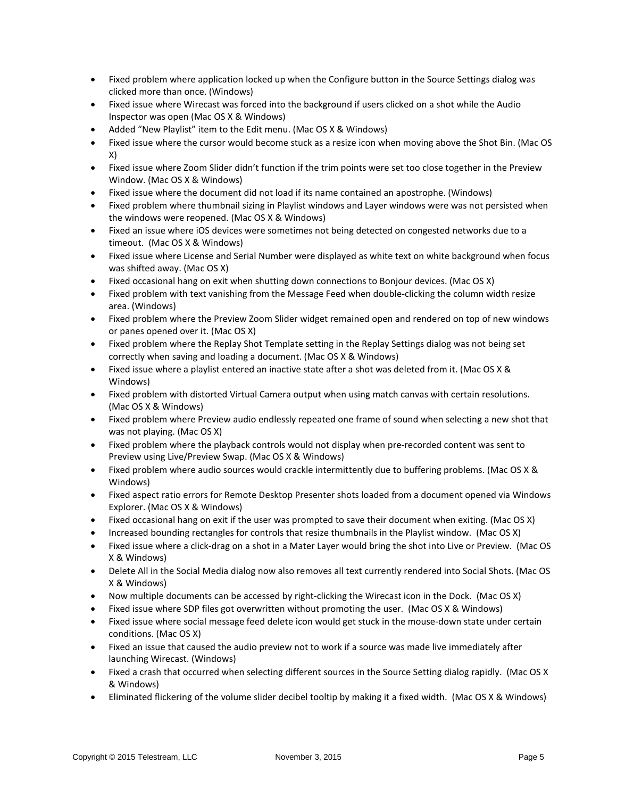- Fixed problem where application locked up when the Configure button in the Source Settings dialog was clicked more than once. (Windows)
- Fixed issue where Wirecast was forced into the background if users clicked on a shot while the Audio Inspector was open (Mac OS X & Windows)
- Added "New Playlist" item to the Edit menu. (Mac OS X & Windows)
- Fixed issue where the cursor would become stuck as a resize icon when moving above the Shot Bin. (Mac OS X)
- Fixed issue where Zoom Slider didn't function if the trim points were set too close together in the Preview Window. (Mac OS X & Windows)
- Fixed issue where the document did not load if its name contained an apostrophe. (Windows)
- Fixed problem where thumbnail sizing in Playlist windows and Layer windows were was not persisted when the windows were reopened. (Mac OS X & Windows)
- Fixed an issue where iOS devices were sometimes not being detected on congested networks due to a timeout. (Mac OS X & Windows)
- Fixed issue where License and Serial Number were displayed as white text on white background when focus was shifted away. (Mac OS X)
- Fixed occasional hang on exit when shutting down connections to Bonjour devices. (Mac OS X)
- Fixed problem with text vanishing from the Message Feed when double-clicking the column width resize area. (Windows)
- Fixed problem where the Preview Zoom Slider widget remained open and rendered on top of new windows or panes opened over it. (Mac OS X)
- Fixed problem where the Replay Shot Template setting in the Replay Settings dialog was not being set correctly when saving and loading a document. (Mac OS X & Windows)
- Fixed issue where a playlist entered an inactive state after a shot was deleted from it. (Mac OS X & Windows)
- Fixed problem with distorted Virtual Camera output when using match canvas with certain resolutions. (Mac OS X & Windows)
- Fixed problem where Preview audio endlessly repeated one frame of sound when selecting a new shot that was not playing. (Mac OS X)
- Fixed problem where the playback controls would not display when pre-recorded content was sent to Preview using Live/Preview Swap. (Mac OS X & Windows)
- Fixed problem where audio sources would crackle intermittently due to buffering problems. (Mac OS X & Windows)
- Fixed aspect ratio errors for Remote Desktop Presenter shots loaded from a document opened via Windows Explorer. (Mac OS X & Windows)
- Fixed occasional hang on exit if the user was prompted to save their document when exiting. (Mac OS X)
- Increased bounding rectangles for controls that resize thumbnails in the Playlist window. (Mac OS X)
- Fixed issue where a click-drag on a shot in a Mater Layer would bring the shot into Live or Preview. (Mac OS X & Windows)
- Delete All in the Social Media dialog now also removes all text currently rendered into Social Shots. (Mac OS X & Windows)
- Now multiple documents can be accessed by right-clicking the Wirecast icon in the Dock. (Mac OS X)
- Fixed issue where SDP files got overwritten without promoting the user. (Mac OS X & Windows)
- Fixed issue where social message feed delete icon would get stuck in the mouse-down state under certain conditions. (Mac OS X)
- Fixed an issue that caused the audio preview not to work if a source was made live immediately after launching Wirecast. (Windows)
- Fixed a crash that occurred when selecting different sources in the Source Setting dialog rapidly. (Mac OS X & Windows)
- Eliminated flickering of the volume slider decibel tooltip by making it a fixed width. (Mac OS X & Windows)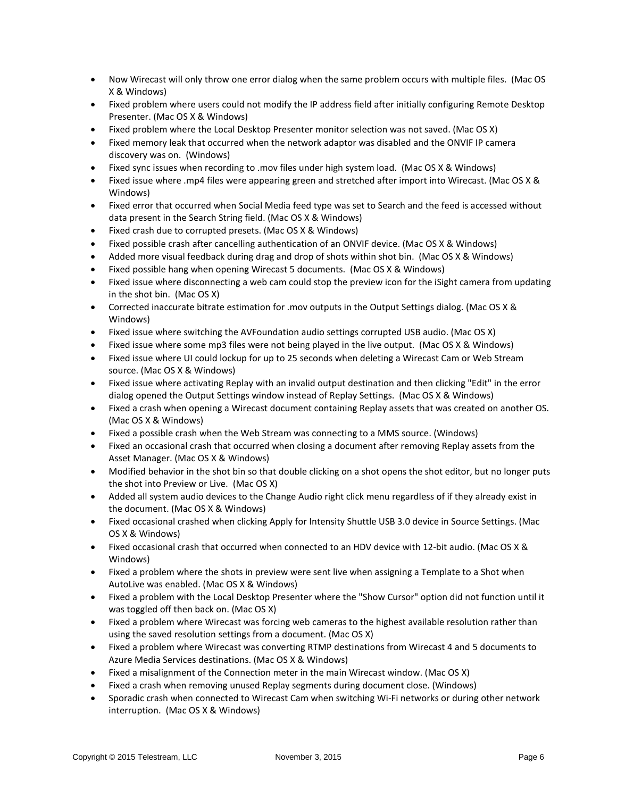- Now Wirecast will only throw one error dialog when the same problem occurs with multiple files. (Mac OS X & Windows)
- Fixed problem where users could not modify the IP address field after initially configuring Remote Desktop Presenter. (Mac OS X & Windows)
- Fixed problem where the Local Desktop Presenter monitor selection was not saved. (Mac OS X)
- Fixed memory leak that occurred when the network adaptor was disabled and the ONVIF IP camera discovery was on. (Windows)
- Fixed sync issues when recording to .mov files under high system load. (Mac OS X & Windows)
- Fixed issue where .mp4 files were appearing green and stretched after import into Wirecast. (Mac OS X & Windows)
- Fixed error that occurred when Social Media feed type was set to Search and the feed is accessed without data present in the Search String field. (Mac OS X & Windows)
- Fixed crash due to corrupted presets. (Mac OS X & Windows)
- Fixed possible crash after cancelling authentication of an ONVIF device. (Mac OS X & Windows)
- Added more visual feedback during drag and drop of shots within shot bin. (Mac OS X & Windows)
- Fixed possible hang when opening Wirecast 5 documents. (Mac OS X & Windows)
- Fixed issue where disconnecting a web cam could stop the preview icon for the iSight camera from updating in the shot bin. (Mac OS X)
- Corrected inaccurate bitrate estimation for .mov outputs in the Output Settings dialog. (Mac OS X & Windows)
- Fixed issue where switching the AVFoundation audio settings corrupted USB audio. (Mac OS X)
- Fixed issue where some mp3 files were not being played in the live output. (Mac OS X & Windows)
- Fixed issue where UI could lockup for up to 25 seconds when deleting a Wirecast Cam or Web Stream source. (Mac OS X & Windows)
- Fixed issue where activating Replay with an invalid output destination and then clicking "Edit" in the error dialog opened the Output Settings window instead of Replay Settings. (Mac OS X & Windows)
- Fixed a crash when opening a Wirecast document containing Replay assets that was created on another OS. (Mac OS X & Windows)
- Fixed a possible crash when the Web Stream was connecting to a MMS source. (Windows)
- Fixed an occasional crash that occurred when closing a document after removing Replay assets from the Asset Manager. (Mac OS X & Windows)
- Modified behavior in the shot bin so that double clicking on a shot opens the shot editor, but no longer puts the shot into Preview or Live. (Mac OS X)
- Added all system audio devices to the Change Audio right click menu regardless of if they already exist in the document. (Mac OS X & Windows)
- Fixed occasional crashed when clicking Apply for Intensity Shuttle USB 3.0 device in Source Settings. (Mac OS X & Windows)
- Fixed occasional crash that occurred when connected to an HDV device with 12-bit audio. (Mac OS X & Windows)
- Fixed a problem where the shots in preview were sent live when assigning a Template to a Shot when AutoLive was enabled. (Mac OS X & Windows)
- Fixed a problem with the Local Desktop Presenter where the "Show Cursor" option did not function until it was toggled off then back on. (Mac OS X)
- Fixed a problem where Wirecast was forcing web cameras to the highest available resolution rather than using the saved resolution settings from a document. (Mac OS X)
- Fixed a problem where Wirecast was converting RTMP destinations from Wirecast 4 and 5 documents to Azure Media Services destinations. (Mac OS X & Windows)
- Fixed a misalignment of the Connection meter in the main Wirecast window. (Mac OS X)
- Fixed a crash when removing unused Replay segments during document close. (Windows)
- Sporadic crash when connected to Wirecast Cam when switching Wi-Fi networks or during other network interruption. (Mac OS X & Windows)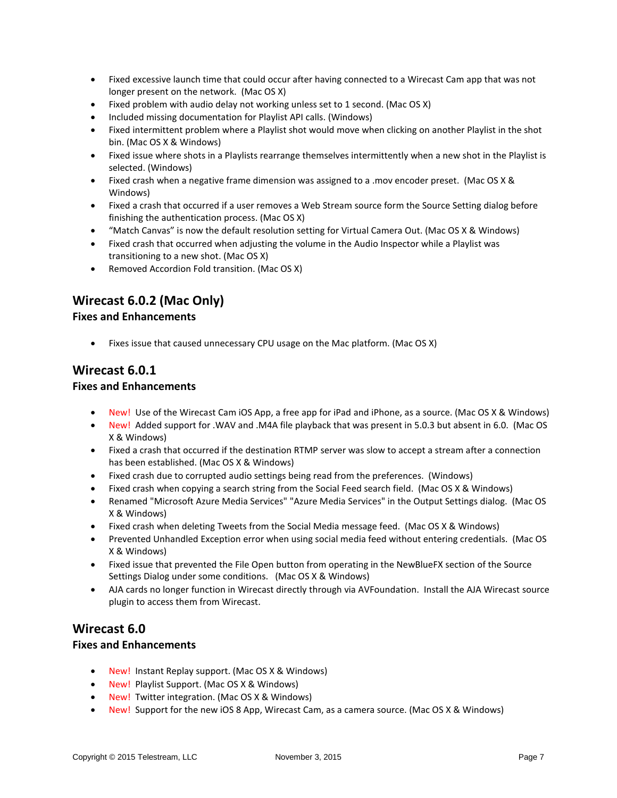- Fixed excessive launch time that could occur after having connected to a Wirecast Cam app that was not longer present on the network. (Mac OS X)
- Fixed problem with audio delay not working unless set to 1 second. (Mac OS X)
- Included missing documentation for Playlist API calls. (Windows)
- Fixed intermittent problem where a Playlist shot would move when clicking on another Playlist in the shot bin. (Mac OS X & Windows)
- Fixed issue where shots in a Playlists rearrange themselves intermittently when a new shot in the Playlist is selected. (Windows)
- Fixed crash when a negative frame dimension was assigned to a .mov encoder preset. (Mac OS X & Windows)
- Fixed a crash that occurred if a user removes a Web Stream source form the Source Setting dialog before finishing the authentication process. (Mac OS X)
- "Match Canvas" is now the default resolution setting for Virtual Camera Out. (Mac OS X & Windows)
- Fixed crash that occurred when adjusting the volume in the Audio Inspector while a Playlist was transitioning to a new shot. (Mac OS X)
- Removed Accordion Fold transition. (Mac OS X)

# **Wirecast 6.0.2 (Mac Only)**

### **Fixes and Enhancements**

• Fixes issue that caused unnecessary CPU usage on the Mac platform. (Mac OS X)

### **Wirecast 6.0.1**

### **Fixes and Enhancements**

- New! Use of the Wirecast Cam iOS App, a free app for iPad and iPhone, as a source. (Mac OS X & Windows)
- New! Added support for .WAV and .M4A file playback that was present in 5.0.3 but absent in 6.0. (Mac OS X & Windows)
- Fixed a crash that occurred if the destination RTMP server was slow to accept a stream after a connection has been established. (Mac OS X & Windows)
- Fixed crash due to corrupted audio settings being read from the preferences. (Windows)
- Fixed crash when copying a search string from the Social Feed search field. (Mac OS X & Windows)
- Renamed "Microsoft Azure Media Services" "Azure Media Services" in the Output Settings dialog. (Mac OS X & Windows)
- Fixed crash when deleting Tweets from the Social Media message feed. (Mac OS X & Windows)
- Prevented Unhandled Exception error when using social media feed without entering credentials. (Mac OS X & Windows)
- Fixed issue that prevented the File Open button from operating in the NewBlueFX section of the Source Settings Dialog under some conditions. (Mac OS X & Windows)
- AJA cards no longer function in Wirecast directly through via AVFoundation. Install the AJA Wirecast source plugin to access them from Wirecast.

## **Wirecast 6.0**

### **Fixes and Enhancements**

- New! Instant Replay support. (Mac OS X & Windows)
- New! Playlist Support. (Mac OS X & Windows)
- New! Twitter integration. (Mac OS X & Windows)
- New! Support for the new iOS 8 App, Wirecast Cam, as a camera source. (Mac OS X & Windows)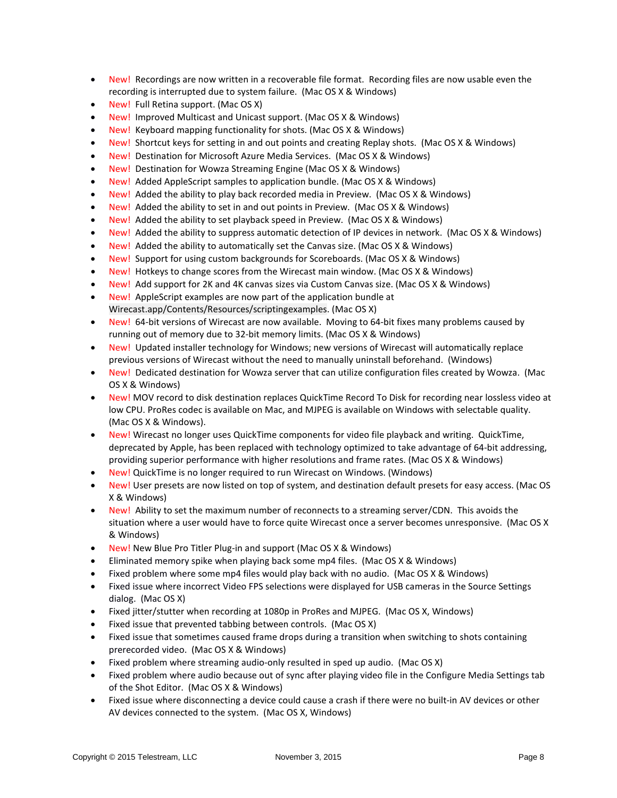- New! Recordings are now written in a recoverable file format. Recording files are now usable even the recording is interrupted due to system failure. (Mac OS X & Windows)
- New! Full Retina support. (Mac OS X)
- New! Improved Multicast and Unicast support. (Mac OS X & Windows)
- New! Keyboard mapping functionality for shots. (Mac OS X & Windows)
- New! Shortcut keys for setting in and out points and creating Replay shots. (Mac OS X & Windows)
- New! Destination for Microsoft Azure Media Services. (Mac OS X & Windows)
- New! Destination for Wowza Streaming Engine (Mac OS X & Windows)
- New! Added AppleScript samples to application bundle. (Mac OS X & Windows)
- New! Added the ability to play back recorded media in Preview. (Mac OS X & Windows)
- New! Added the ability to set in and out points in Preview. (Mac OS X & Windows)
- New! Added the ability to set playback speed in Preview. (Mac OS X & Windows)
- New! Added the ability to suppress automatic detection of IP devices in network. (Mac OS X & Windows)
- New! Added the ability to automatically set the Canvas size. (Mac OS X & Windows)
- New! Support for using custom backgrounds for Scoreboards. (Mac OS X & Windows)
- New! Hotkeys to change scores from the Wirecast main window. (Mac OS X & Windows)
- New! Add support for 2K and 4K canvas sizes via Custom Canvas size. (Mac OS X & Windows)
- New! AppleScript examples are now part of the application bundle at Wirecast.app/Contents/Resources/scriptingexamples. (Mac OS X)
- New! 64-bit versions of Wirecast are now available. Moving to 64-bit fixes many problems caused by running out of memory due to 32-bit memory limits. (Mac OS X & Windows)
- New! Updated installer technology for Windows; new versions of Wirecast will automatically replace previous versions of Wirecast without the need to manually uninstall beforehand. (Windows)
- New! Dedicated destination for Wowza server that can utilize configuration files created by Wowza. (Mac OS X & Windows)
- New! MOV record to disk destination replaces QuickTime Record To Disk for recording near lossless video at low CPU. ProRes codec is available on Mac, and MJPEG is available on Windows with selectable quality. (Mac OS X & Windows).
- New! Wirecast no longer uses QuickTime components for video file playback and writing. QuickTime, deprecated by Apple, has been replaced with technology optimized to take advantage of 64-bit addressing, providing superior performance with higher resolutions and frame rates. (Mac OS X & Windows)
- New! QuickTime is no longer required to run Wirecast on Windows. (Windows)
- New! User presets are now listed on top of system, and destination default presets for easy access. (Mac OS X & Windows)
- New! Ability to set the maximum number of reconnects to a streaming server/CDN. This avoids the situation where a user would have to force quite Wirecast once a server becomes unresponsive. (Mac OS X & Windows)
- New! New Blue Pro Titler Plug-in and support (Mac OS X & Windows)
- Eliminated memory spike when playing back some mp4 files. (Mac OS X & Windows)
- Fixed problem where some mp4 files would play back with no audio. (Mac OS X & Windows)
- Fixed issue where incorrect Video FPS selections were displayed for USB cameras in the Source Settings dialog. (Mac OS X)
- Fixed jitter/stutter when recording at 1080p in ProRes and MJPEG. (Mac OS X, Windows)
- Fixed issue that prevented tabbing between controls. (Mac OS X)
- Fixed issue that sometimes caused frame drops during a transition when switching to shots containing prerecorded video. (Mac OS X & Windows)
- Fixed problem where streaming audio-only resulted in sped up audio. (Mac OS X)
- Fixed problem where audio because out of sync after playing video file in the Configure Media Settings tab of the Shot Editor. (Mac OS X & Windows)
- Fixed issue where disconnecting a device could cause a crash if there were no built-in AV devices or other AV devices connected to the system. (Mac OS X, Windows)